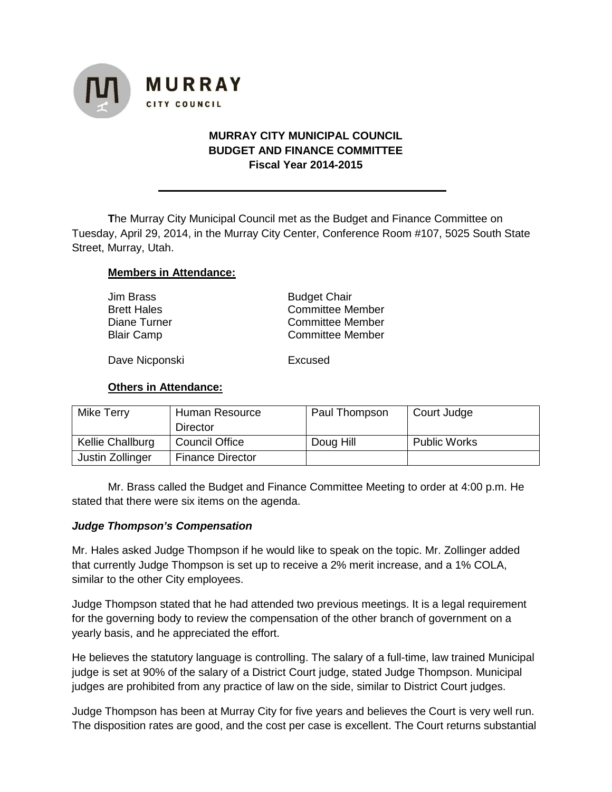

## **MURRAY CITY MUNICIPAL COUNCIL BUDGET AND FINANCE COMMITTEE Fiscal Year 2014-2015**

**T**he Murray City Municipal Council met as the Budget and Finance Committee on Tuesday, April 29, 2014, in the Murray City Center, Conference Room #107, 5025 South State Street, Murray, Utah.

#### **Members in Attendance:**

| Jim Brass          | <b>Budget Chair</b>     |  |  |
|--------------------|-------------------------|--|--|
| <b>Brett Hales</b> | <b>Committee Member</b> |  |  |
| Diane Turner       | <b>Committee Member</b> |  |  |
| <b>Blair Camp</b>  | <b>Committee Member</b> |  |  |
|                    |                         |  |  |

Dave Nicponski<br>
Excused

#### **Others in Attendance:**

| Mike Terry       | Human Resource          | Paul Thompson | Court Judge         |
|------------------|-------------------------|---------------|---------------------|
|                  | Director                |               |                     |
| Kellie Challburg | <b>Council Office</b>   | Doug Hill     | <b>Public Works</b> |
| Justin Zollinger | <b>Finance Director</b> |               |                     |

Mr. Brass called the Budget and Finance Committee Meeting to order at 4:00 p.m. He stated that there were six items on the agenda.

#### *Judge Thompson's Compensation*

Mr. Hales asked Judge Thompson if he would like to speak on the topic. Mr. Zollinger added that currently Judge Thompson is set up to receive a 2% merit increase, and a 1% COLA, similar to the other City employees.

Judge Thompson stated that he had attended two previous meetings. It is a legal requirement for the governing body to review the compensation of the other branch of government on a yearly basis, and he appreciated the effort.

He believes the statutory language is controlling. The salary of a full-time, law trained Municipal judge is set at 90% of the salary of a District Court judge, stated Judge Thompson. Municipal judges are prohibited from any practice of law on the side, similar to District Court judges.

Judge Thompson has been at Murray City for five years and believes the Court is very well run. The disposition rates are good, and the cost per case is excellent. The Court returns substantial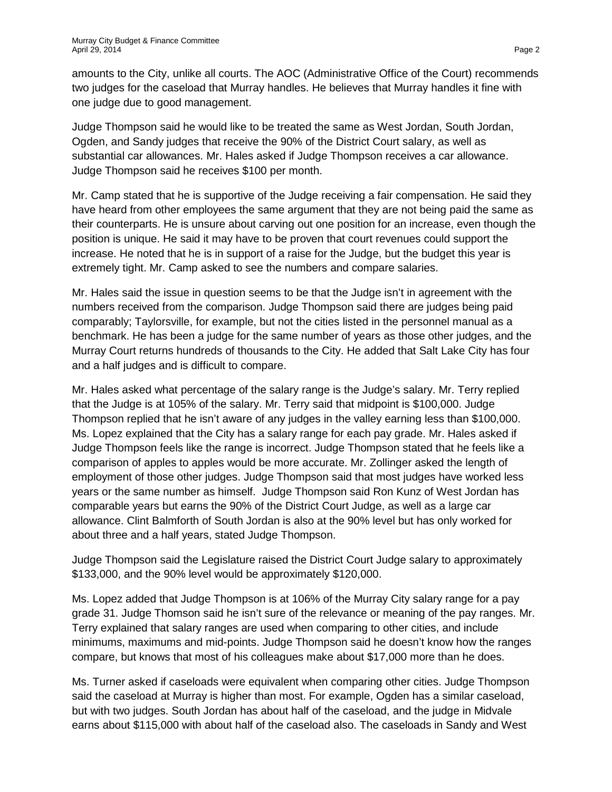amounts to the City, unlike all courts. The AOC (Administrative Office of the Court) recommends two judges for the caseload that Murray handles. He believes that Murray handles it fine with one judge due to good management.

Judge Thompson said he would like to be treated the same as West Jordan, South Jordan, Ogden, and Sandy judges that receive the 90% of the District Court salary, as well as substantial car allowances. Mr. Hales asked if Judge Thompson receives a car allowance. Judge Thompson said he receives \$100 per month.

Mr. Camp stated that he is supportive of the Judge receiving a fair compensation. He said they have heard from other employees the same argument that they are not being paid the same as their counterparts. He is unsure about carving out one position for an increase, even though the position is unique. He said it may have to be proven that court revenues could support the increase. He noted that he is in support of a raise for the Judge, but the budget this year is extremely tight. Mr. Camp asked to see the numbers and compare salaries.

Mr. Hales said the issue in question seems to be that the Judge isn't in agreement with the numbers received from the comparison. Judge Thompson said there are judges being paid comparably; Taylorsville, for example, but not the cities listed in the personnel manual as a benchmark. He has been a judge for the same number of years as those other judges, and the Murray Court returns hundreds of thousands to the City. He added that Salt Lake City has four and a half judges and is difficult to compare.

Mr. Hales asked what percentage of the salary range is the Judge's salary. Mr. Terry replied that the Judge is at 105% of the salary. Mr. Terry said that midpoint is \$100,000. Judge Thompson replied that he isn't aware of any judges in the valley earning less than \$100,000. Ms. Lopez explained that the City has a salary range for each pay grade. Mr. Hales asked if Judge Thompson feels like the range is incorrect. Judge Thompson stated that he feels like a comparison of apples to apples would be more accurate. Mr. Zollinger asked the length of employment of those other judges. Judge Thompson said that most judges have worked less years or the same number as himself. Judge Thompson said Ron Kunz of West Jordan has comparable years but earns the 90% of the District Court Judge, as well as a large car allowance. Clint Balmforth of South Jordan is also at the 90% level but has only worked for about three and a half years, stated Judge Thompson.

Judge Thompson said the Legislature raised the District Court Judge salary to approximately \$133,000, and the 90% level would be approximately \$120,000.

Ms. Lopez added that Judge Thompson is at 106% of the Murray City salary range for a pay grade 31. Judge Thomson said he isn't sure of the relevance or meaning of the pay ranges. Mr. Terry explained that salary ranges are used when comparing to other cities, and include minimums, maximums and mid-points. Judge Thompson said he doesn't know how the ranges compare, but knows that most of his colleagues make about \$17,000 more than he does.

Ms. Turner asked if caseloads were equivalent when comparing other cities. Judge Thompson said the caseload at Murray is higher than most. For example, Ogden has a similar caseload, but with two judges. South Jordan has about half of the caseload, and the judge in Midvale earns about \$115,000 with about half of the caseload also. The caseloads in Sandy and West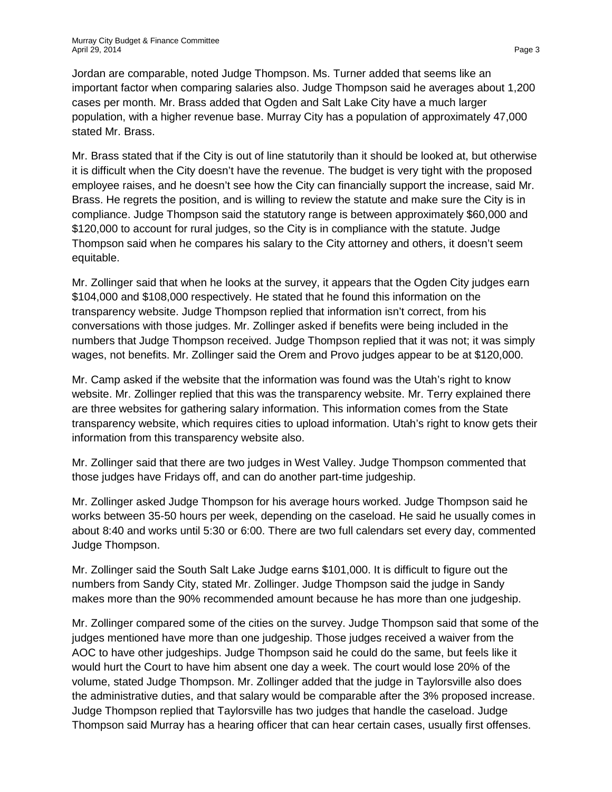Jordan are comparable, noted Judge Thompson. Ms. Turner added that seems like an important factor when comparing salaries also. Judge Thompson said he averages about 1,200 cases per month. Mr. Brass added that Ogden and Salt Lake City have a much larger population, with a higher revenue base. Murray City has a population of approximately 47,000 stated Mr. Brass.

Mr. Brass stated that if the City is out of line statutorily than it should be looked at, but otherwise it is difficult when the City doesn't have the revenue. The budget is very tight with the proposed employee raises, and he doesn't see how the City can financially support the increase, said Mr. Brass. He regrets the position, and is willing to review the statute and make sure the City is in compliance. Judge Thompson said the statutory range is between approximately \$60,000 and \$120,000 to account for rural judges, so the City is in compliance with the statute. Judge Thompson said when he compares his salary to the City attorney and others, it doesn't seem equitable.

Mr. Zollinger said that when he looks at the survey, it appears that the Ogden City judges earn \$104,000 and \$108,000 respectively. He stated that he found this information on the transparency website. Judge Thompson replied that information isn't correct, from his conversations with those judges. Mr. Zollinger asked if benefits were being included in the numbers that Judge Thompson received. Judge Thompson replied that it was not; it was simply wages, not benefits. Mr. Zollinger said the Orem and Provo judges appear to be at \$120,000.

Mr. Camp asked if the website that the information was found was the Utah's right to know website. Mr. Zollinger replied that this was the transparency website. Mr. Terry explained there are three websites for gathering salary information. This information comes from the State transparency website, which requires cities to upload information. Utah's right to know gets their information from this transparency website also.

Mr. Zollinger said that there are two judges in West Valley. Judge Thompson commented that those judges have Fridays off, and can do another part-time judgeship.

Mr. Zollinger asked Judge Thompson for his average hours worked. Judge Thompson said he works between 35-50 hours per week, depending on the caseload. He said he usually comes in about 8:40 and works until 5:30 or 6:00. There are two full calendars set every day, commented Judge Thompson.

Mr. Zollinger said the South Salt Lake Judge earns \$101,000. It is difficult to figure out the numbers from Sandy City, stated Mr. Zollinger. Judge Thompson said the judge in Sandy makes more than the 90% recommended amount because he has more than one judgeship.

Mr. Zollinger compared some of the cities on the survey. Judge Thompson said that some of the judges mentioned have more than one judgeship. Those judges received a waiver from the AOC to have other judgeships. Judge Thompson said he could do the same, but feels like it would hurt the Court to have him absent one day a week. The court would lose 20% of the volume, stated Judge Thompson. Mr. Zollinger added that the judge in Taylorsville also does the administrative duties, and that salary would be comparable after the 3% proposed increase. Judge Thompson replied that Taylorsville has two judges that handle the caseload. Judge Thompson said Murray has a hearing officer that can hear certain cases, usually first offenses.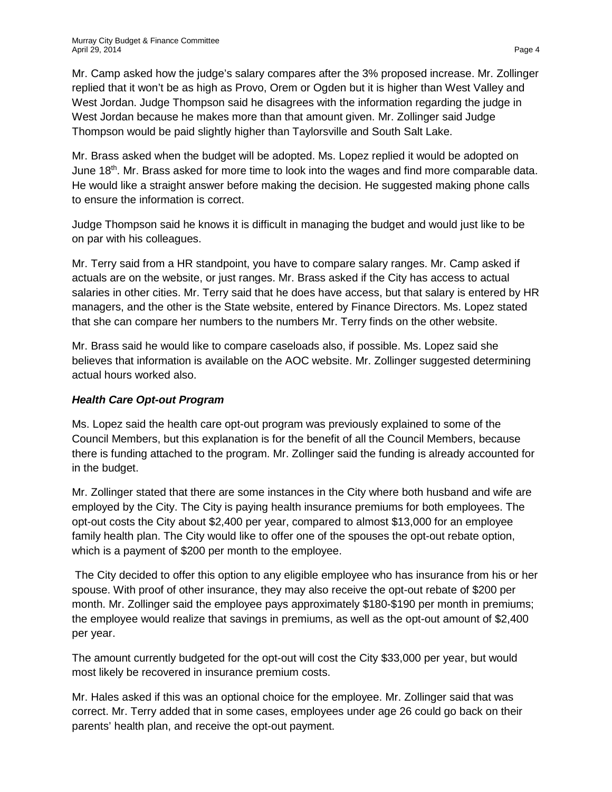Mr. Camp asked how the judge's salary compares after the 3% proposed increase. Mr. Zollinger replied that it won't be as high as Provo, Orem or Ogden but it is higher than West Valley and West Jordan. Judge Thompson said he disagrees with the information regarding the judge in West Jordan because he makes more than that amount given. Mr. Zollinger said Judge Thompson would be paid slightly higher than Taylorsville and South Salt Lake.

Mr. Brass asked when the budget will be adopted. Ms. Lopez replied it would be adopted on June 18<sup>th</sup>. Mr. Brass asked for more time to look into the wages and find more comparable data. He would like a straight answer before making the decision. He suggested making phone calls to ensure the information is correct.

Judge Thompson said he knows it is difficult in managing the budget and would just like to be on par with his colleagues.

Mr. Terry said from a HR standpoint, you have to compare salary ranges. Mr. Camp asked if actuals are on the website, or just ranges. Mr. Brass asked if the City has access to actual salaries in other cities. Mr. Terry said that he does have access, but that salary is entered by HR managers, and the other is the State website, entered by Finance Directors. Ms. Lopez stated that she can compare her numbers to the numbers Mr. Terry finds on the other website.

Mr. Brass said he would like to compare caseloads also, if possible. Ms. Lopez said she believes that information is available on the AOC website. Mr. Zollinger suggested determining actual hours worked also.

# *Health Care Opt-out Program*

Ms. Lopez said the health care opt-out program was previously explained to some of the Council Members, but this explanation is for the benefit of all the Council Members, because there is funding attached to the program. Mr. Zollinger said the funding is already accounted for in the budget.

Mr. Zollinger stated that there are some instances in the City where both husband and wife are employed by the City. The City is paying health insurance premiums for both employees. The opt-out costs the City about \$2,400 per year, compared to almost \$13,000 for an employee family health plan. The City would like to offer one of the spouses the opt-out rebate option, which is a payment of \$200 per month to the employee.

The City decided to offer this option to any eligible employee who has insurance from his or her spouse. With proof of other insurance, they may also receive the opt-out rebate of \$200 per month. Mr. Zollinger said the employee pays approximately \$180-\$190 per month in premiums; the employee would realize that savings in premiums, as well as the opt-out amount of \$2,400 per year.

The amount currently budgeted for the opt-out will cost the City \$33,000 per year, but would most likely be recovered in insurance premium costs.

Mr. Hales asked if this was an optional choice for the employee. Mr. Zollinger said that was correct. Mr. Terry added that in some cases, employees under age 26 could go back on their parents' health plan, and receive the opt-out payment.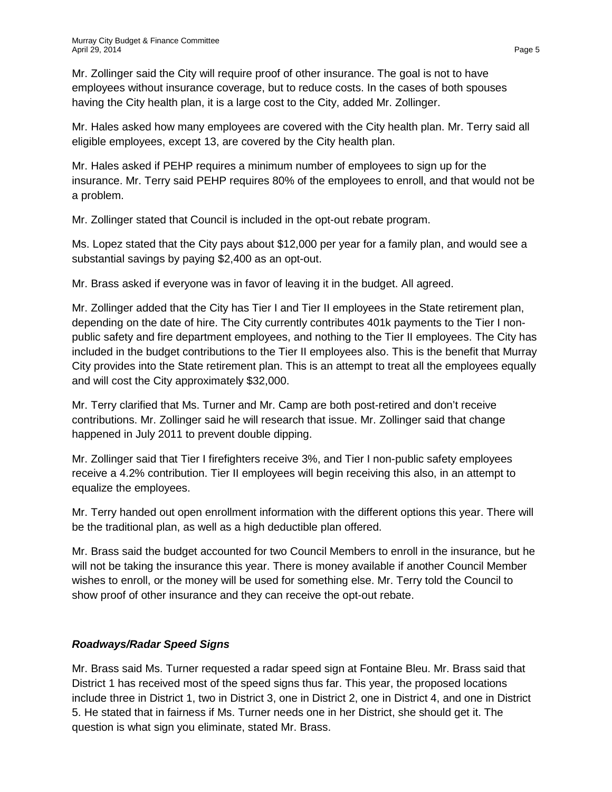Mr. Zollinger said the City will require proof of other insurance. The goal is not to have employees without insurance coverage, but to reduce costs. In the cases of both spouses having the City health plan, it is a large cost to the City, added Mr. Zollinger.

Mr. Hales asked how many employees are covered with the City health plan. Mr. Terry said all eligible employees, except 13, are covered by the City health plan.

Mr. Hales asked if PEHP requires a minimum number of employees to sign up for the insurance. Mr. Terry said PEHP requires 80% of the employees to enroll, and that would not be a problem.

Mr. Zollinger stated that Council is included in the opt-out rebate program.

Ms. Lopez stated that the City pays about \$12,000 per year for a family plan, and would see a substantial savings by paying \$2,400 as an opt-out.

Mr. Brass asked if everyone was in favor of leaving it in the budget. All agreed.

Mr. Zollinger added that the City has Tier I and Tier II employees in the State retirement plan, depending on the date of hire. The City currently contributes 401k payments to the Tier I nonpublic safety and fire department employees, and nothing to the Tier II employees. The City has included in the budget contributions to the Tier II employees also. This is the benefit that Murray City provides into the State retirement plan. This is an attempt to treat all the employees equally and will cost the City approximately \$32,000.

Mr. Terry clarified that Ms. Turner and Mr. Camp are both post-retired and don't receive contributions. Mr. Zollinger said he will research that issue. Mr. Zollinger said that change happened in July 2011 to prevent double dipping.

Mr. Zollinger said that Tier I firefighters receive 3%, and Tier I non-public safety employees receive a 4.2% contribution. Tier II employees will begin receiving this also, in an attempt to equalize the employees.

Mr. Terry handed out open enrollment information with the different options this year. There will be the traditional plan, as well as a high deductible plan offered.

Mr. Brass said the budget accounted for two Council Members to enroll in the insurance, but he will not be taking the insurance this year. There is money available if another Council Member wishes to enroll, or the money will be used for something else. Mr. Terry told the Council to show proof of other insurance and they can receive the opt-out rebate.

# *Roadways/Radar Speed Signs*

Mr. Brass said Ms. Turner requested a radar speed sign at Fontaine Bleu. Mr. Brass said that District 1 has received most of the speed signs thus far. This year, the proposed locations include three in District 1, two in District 3, one in District 2, one in District 4, and one in District 5. He stated that in fairness if Ms. Turner needs one in her District, she should get it. The question is what sign you eliminate, stated Mr. Brass.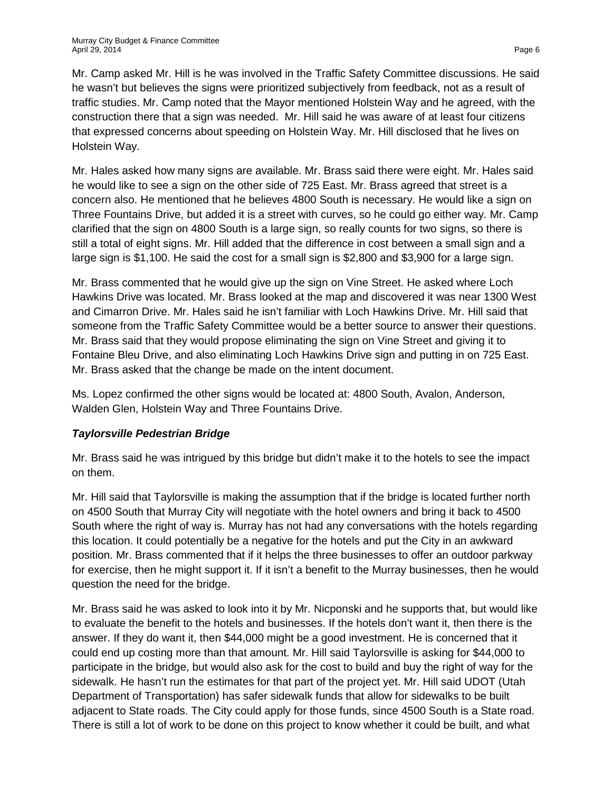Mr. Camp asked Mr. Hill is he was involved in the Traffic Safety Committee discussions. He said he wasn't but believes the signs were prioritized subjectively from feedback, not as a result of traffic studies. Mr. Camp noted that the Mayor mentioned Holstein Way and he agreed, with the construction there that a sign was needed. Mr. Hill said he was aware of at least four citizens that expressed concerns about speeding on Holstein Way. Mr. Hill disclosed that he lives on Holstein Way.

Mr. Hales asked how many signs are available. Mr. Brass said there were eight. Mr. Hales said he would like to see a sign on the other side of 725 East. Mr. Brass agreed that street is a concern also. He mentioned that he believes 4800 South is necessary. He would like a sign on Three Fountains Drive, but added it is a street with curves, so he could go either way. Mr. Camp clarified that the sign on 4800 South is a large sign, so really counts for two signs, so there is still a total of eight signs. Mr. Hill added that the difference in cost between a small sign and a large sign is \$1,100. He said the cost for a small sign is \$2,800 and \$3,900 for a large sign.

Mr. Brass commented that he would give up the sign on Vine Street. He asked where Loch Hawkins Drive was located. Mr. Brass looked at the map and discovered it was near 1300 West and Cimarron Drive. Mr. Hales said he isn't familiar with Loch Hawkins Drive. Mr. Hill said that someone from the Traffic Safety Committee would be a better source to answer their questions. Mr. Brass said that they would propose eliminating the sign on Vine Street and giving it to Fontaine Bleu Drive, and also eliminating Loch Hawkins Drive sign and putting in on 725 East. Mr. Brass asked that the change be made on the intent document.

Ms. Lopez confirmed the other signs would be located at: 4800 South, Avalon, Anderson, Walden Glen, Holstein Way and Three Fountains Drive.

# *Taylorsville Pedestrian Bridge*

Mr. Brass said he was intrigued by this bridge but didn't make it to the hotels to see the impact on them.

Mr. Hill said that Taylorsville is making the assumption that if the bridge is located further north on 4500 South that Murray City will negotiate with the hotel owners and bring it back to 4500 South where the right of way is. Murray has not had any conversations with the hotels regarding this location. It could potentially be a negative for the hotels and put the City in an awkward position. Mr. Brass commented that if it helps the three businesses to offer an outdoor parkway for exercise, then he might support it. If it isn't a benefit to the Murray businesses, then he would question the need for the bridge.

Mr. Brass said he was asked to look into it by Mr. Nicponski and he supports that, but would like to evaluate the benefit to the hotels and businesses. If the hotels don't want it, then there is the answer. If they do want it, then \$44,000 might be a good investment. He is concerned that it could end up costing more than that amount. Mr. Hill said Taylorsville is asking for \$44,000 to participate in the bridge, but would also ask for the cost to build and buy the right of way for the sidewalk. He hasn't run the estimates for that part of the project yet. Mr. Hill said UDOT (Utah Department of Transportation) has safer sidewalk funds that allow for sidewalks to be built adjacent to State roads. The City could apply for those funds, since 4500 South is a State road. There is still a lot of work to be done on this project to know whether it could be built, and what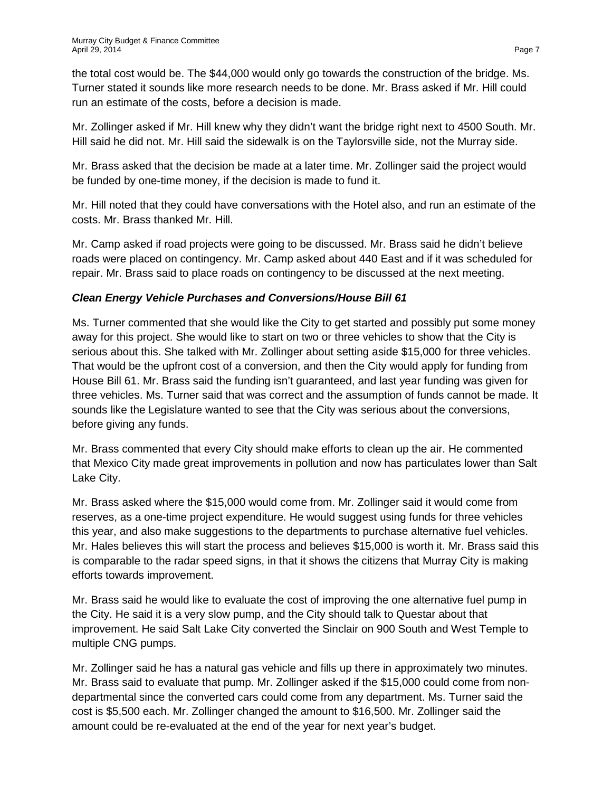the total cost would be. The \$44,000 would only go towards the construction of the bridge. Ms. Turner stated it sounds like more research needs to be done. Mr. Brass asked if Mr. Hill could run an estimate of the costs, before a decision is made.

Mr. Zollinger asked if Mr. Hill knew why they didn't want the bridge right next to 4500 South. Mr. Hill said he did not. Mr. Hill said the sidewalk is on the Taylorsville side, not the Murray side.

Mr. Brass asked that the decision be made at a later time. Mr. Zollinger said the project would be funded by one-time money, if the decision is made to fund it.

Mr. Hill noted that they could have conversations with the Hotel also, and run an estimate of the costs. Mr. Brass thanked Mr. Hill.

Mr. Camp asked if road projects were going to be discussed. Mr. Brass said he didn't believe roads were placed on contingency. Mr. Camp asked about 440 East and if it was scheduled for repair. Mr. Brass said to place roads on contingency to be discussed at the next meeting.

# *Clean Energy Vehicle Purchases and Conversions/House Bill 61*

Ms. Turner commented that she would like the City to get started and possibly put some money away for this project. She would like to start on two or three vehicles to show that the City is serious about this. She talked with Mr. Zollinger about setting aside \$15,000 for three vehicles. That would be the upfront cost of a conversion, and then the City would apply for funding from House Bill 61. Mr. Brass said the funding isn't guaranteed, and last year funding was given for three vehicles. Ms. Turner said that was correct and the assumption of funds cannot be made. It sounds like the Legislature wanted to see that the City was serious about the conversions, before giving any funds.

Mr. Brass commented that every City should make efforts to clean up the air. He commented that Mexico City made great improvements in pollution and now has particulates lower than Salt Lake City.

Mr. Brass asked where the \$15,000 would come from. Mr. Zollinger said it would come from reserves, as a one-time project expenditure. He would suggest using funds for three vehicles this year, and also make suggestions to the departments to purchase alternative fuel vehicles. Mr. Hales believes this will start the process and believes \$15,000 is worth it. Mr. Brass said this is comparable to the radar speed signs, in that it shows the citizens that Murray City is making efforts towards improvement.

Mr. Brass said he would like to evaluate the cost of improving the one alternative fuel pump in the City. He said it is a very slow pump, and the City should talk to Questar about that improvement. He said Salt Lake City converted the Sinclair on 900 South and West Temple to multiple CNG pumps.

Mr. Zollinger said he has a natural gas vehicle and fills up there in approximately two minutes. Mr. Brass said to evaluate that pump. Mr. Zollinger asked if the \$15,000 could come from nondepartmental since the converted cars could come from any department. Ms. Turner said the cost is \$5,500 each. Mr. Zollinger changed the amount to \$16,500. Mr. Zollinger said the amount could be re-evaluated at the end of the year for next year's budget.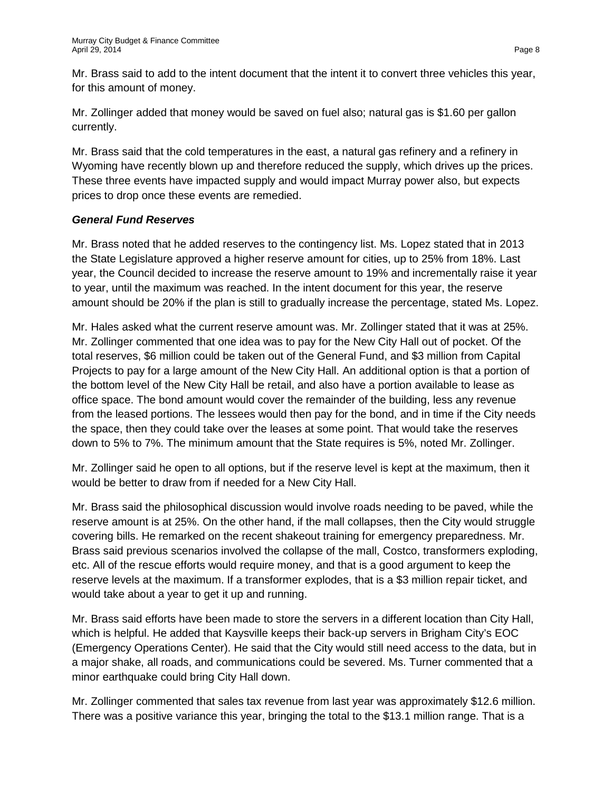Mr. Brass said to add to the intent document that the intent it to convert three vehicles this year, for this amount of money.

Mr. Zollinger added that money would be saved on fuel also; natural gas is \$1.60 per gallon currently.

Mr. Brass said that the cold temperatures in the east, a natural gas refinery and a refinery in Wyoming have recently blown up and therefore reduced the supply, which drives up the prices. These three events have impacted supply and would impact Murray power also, but expects prices to drop once these events are remedied.

## *General Fund Reserves*

Mr. Brass noted that he added reserves to the contingency list. Ms. Lopez stated that in 2013 the State Legislature approved a higher reserve amount for cities, up to 25% from 18%. Last year, the Council decided to increase the reserve amount to 19% and incrementally raise it year to year, until the maximum was reached. In the intent document for this year, the reserve amount should be 20% if the plan is still to gradually increase the percentage, stated Ms. Lopez.

Mr. Hales asked what the current reserve amount was. Mr. Zollinger stated that it was at 25%. Mr. Zollinger commented that one idea was to pay for the New City Hall out of pocket. Of the total reserves, \$6 million could be taken out of the General Fund, and \$3 million from Capital Projects to pay for a large amount of the New City Hall. An additional option is that a portion of the bottom level of the New City Hall be retail, and also have a portion available to lease as office space. The bond amount would cover the remainder of the building, less any revenue from the leased portions. The lessees would then pay for the bond, and in time if the City needs the space, then they could take over the leases at some point. That would take the reserves down to 5% to 7%. The minimum amount that the State requires is 5%, noted Mr. Zollinger.

Mr. Zollinger said he open to all options, but if the reserve level is kept at the maximum, then it would be better to draw from if needed for a New City Hall.

Mr. Brass said the philosophical discussion would involve roads needing to be paved, while the reserve amount is at 25%. On the other hand, if the mall collapses, then the City would struggle covering bills. He remarked on the recent shakeout training for emergency preparedness. Mr. Brass said previous scenarios involved the collapse of the mall, Costco, transformers exploding, etc. All of the rescue efforts would require money, and that is a good argument to keep the reserve levels at the maximum. If a transformer explodes, that is a \$3 million repair ticket, and would take about a year to get it up and running.

Mr. Brass said efforts have been made to store the servers in a different location than City Hall, which is helpful. He added that Kaysville keeps their back-up servers in Brigham City's EOC (Emergency Operations Center). He said that the City would still need access to the data, but in a major shake, all roads, and communications could be severed. Ms. Turner commented that a minor earthquake could bring City Hall down.

Mr. Zollinger commented that sales tax revenue from last year was approximately \$12.6 million. There was a positive variance this year, bringing the total to the \$13.1 million range. That is a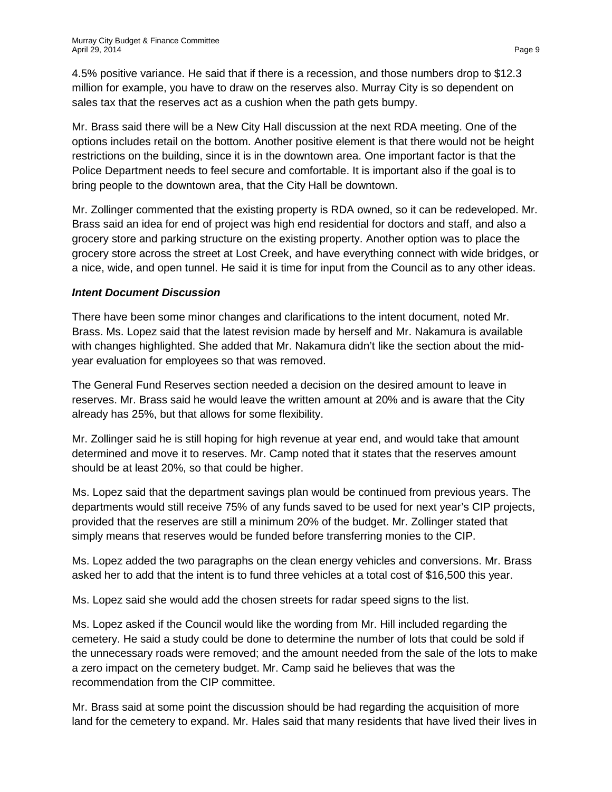4.5% positive variance. He said that if there is a recession, and those numbers drop to \$12.3 million for example, you have to draw on the reserves also. Murray City is so dependent on sales tax that the reserves act as a cushion when the path gets bumpy.

Mr. Brass said there will be a New City Hall discussion at the next RDA meeting. One of the options includes retail on the bottom. Another positive element is that there would not be height restrictions on the building, since it is in the downtown area. One important factor is that the Police Department needs to feel secure and comfortable. It is important also if the goal is to bring people to the downtown area, that the City Hall be downtown.

Mr. Zollinger commented that the existing property is RDA owned, so it can be redeveloped. Mr. Brass said an idea for end of project was high end residential for doctors and staff, and also a grocery store and parking structure on the existing property. Another option was to place the grocery store across the street at Lost Creek, and have everything connect with wide bridges, or a nice, wide, and open tunnel. He said it is time for input from the Council as to any other ideas.

#### *Intent Document Discussion*

There have been some minor changes and clarifications to the intent document, noted Mr. Brass. Ms. Lopez said that the latest revision made by herself and Mr. Nakamura is available with changes highlighted. She added that Mr. Nakamura didn't like the section about the midyear evaluation for employees so that was removed.

The General Fund Reserves section needed a decision on the desired amount to leave in reserves. Mr. Brass said he would leave the written amount at 20% and is aware that the City already has 25%, but that allows for some flexibility.

Mr. Zollinger said he is still hoping for high revenue at year end, and would take that amount determined and move it to reserves. Mr. Camp noted that it states that the reserves amount should be at least 20%, so that could be higher.

Ms. Lopez said that the department savings plan would be continued from previous years. The departments would still receive 75% of any funds saved to be used for next year's CIP projects, provided that the reserves are still a minimum 20% of the budget. Mr. Zollinger stated that simply means that reserves would be funded before transferring monies to the CIP.

Ms. Lopez added the two paragraphs on the clean energy vehicles and conversions. Mr. Brass asked her to add that the intent is to fund three vehicles at a total cost of \$16,500 this year.

Ms. Lopez said she would add the chosen streets for radar speed signs to the list.

Ms. Lopez asked if the Council would like the wording from Mr. Hill included regarding the cemetery. He said a study could be done to determine the number of lots that could be sold if the unnecessary roads were removed; and the amount needed from the sale of the lots to make a zero impact on the cemetery budget. Mr. Camp said he believes that was the recommendation from the CIP committee.

Mr. Brass said at some point the discussion should be had regarding the acquisition of more land for the cemetery to expand. Mr. Hales said that many residents that have lived their lives in